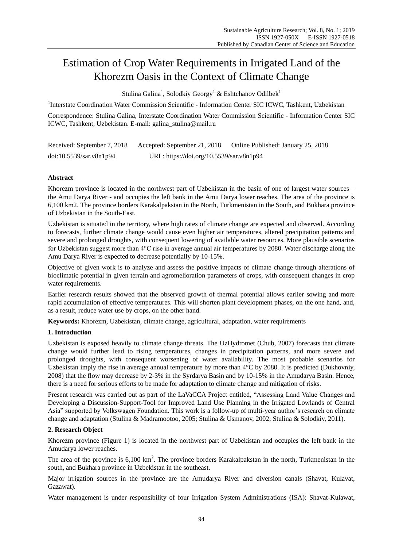# Estimation of Crop Water Requirements in Irrigated Land of the Khorezm Oasis in the Context of Climate Change

Stulina Galina $^{\rm l}$ , Solodkiy Georgy $^{\rm l}$  & Eshtchanov Odilbek $^{\rm l}$ 

<sup>1</sup>Interstate Coordination Water Commission Scientific - Information Center SIC ICWC, Tashkent, Uzbekistan

Correspondence: Stulina Galina, Interstate Coordination Water Commission Scientific - Information Center SIC ICWC, Tashkent, Uzbekistan. E-mail: galina\_stulina@mail.ru

| Received: September 7, 2018 | Accepted: September 21, 2018             | Online Published: January 25, 2018 |
|-----------------------------|------------------------------------------|------------------------------------|
| doi:10.5539/sar.v8n1p94     | URL: https://doi.org/10.5539/sar.v8n1p94 |                                    |

## **Abstract**

Khorezm province is located in the northwest part of Uzbekistan in the basin of one of largest water sources – the Amu Darya River - and occupies the left bank in the Amu Darya lower reaches. The area of the province is 6,100 km2. The province borders Karakalpakstan in the North, Turkmenistan in the South, and Bukhara province of Uzbekistan in the South-East.

Uzbekistan is situated in the territory, where high rates of climate change are expected and observed. According to forecasts, further climate change would cause even higher air temperatures, altered precipitation patterns and severe and prolonged droughts, with consequent lowering of available water resources. More plausible scenarios for Uzbekistan suggest more than 4°C rise in average annual air temperatures by 2080. Water discharge along the Amu Darya River is expected to decrease potentially by 10-15%.

Objective of given work is to analyze and assess the positive impacts of climate change through alterations of bioclimatic potential in given terrain and agromelioration parameters of crops, with consequent changes in crop water requirements.

Earlier research results showed that the observed growth of thermal potential allows earlier sowing and more rapid accumulation of effective temperatures. This will shorten plant development phases, on the one hand, and, as a result, reduce water use by crops, on the other hand.

**Keywords:** Khorezm, Uzbekistan, climate change, agricultural, adaptation, water requirements

## **1. Introduction**

Uzbekistan is exposed heavily to climate change threats. The UzHydromet (Chub, 2007) forecasts that climate change would further lead to rising temperatures, changes in precipitation patterns, and more severe and prolonged droughts, with consequent worsening of water availability. The most probable scenarios for Uzbekistan imply the rise in average annual temperature by more than  $4 \, \text{C}$  by 2080. It is predicted (Dukhovniy, 2008) that the flow may decrease by 2-3% in the Syrdarya Basin and by 10-15% in the Amudarya Basin. Hence, there is a need for serious efforts to be made for adaptation to climate change and mitigation of risks.

Present research was carried out as part of the LaVaCCA Project entitled, "Assessing Land Value Changes and Developing a Discussion-Support-Tool for Improved Land Use Planning in the Irrigated Lowlands of Central Asia" supported by Volkswagen Foundation. This work is a follow-up of multi-year author's research on climate change and adaptation (Stulina & Madramootoo, 2005; Stulina & Usmanov, 2002; Stulina & Solodkiy, 2011).

## **2. Research Object**

Khorezm province (Figure 1) is located in the northwest part of Uzbekistan and occupies the left bank in the Amudarya lower reaches.

The area of the province is  $6,100 \text{ km}^2$ . The province borders Karakalpakstan in the north, Turkmenistan in the south, and Bukhara province in Uzbekistan in the southeast.

Major irrigation sources in the province are the Amudarya River and diversion canals (Shavat, Kulavat, Gazawat).

Water management is under responsibility of four Irrigation System Administrations (ISA): Shavat-Kulawat,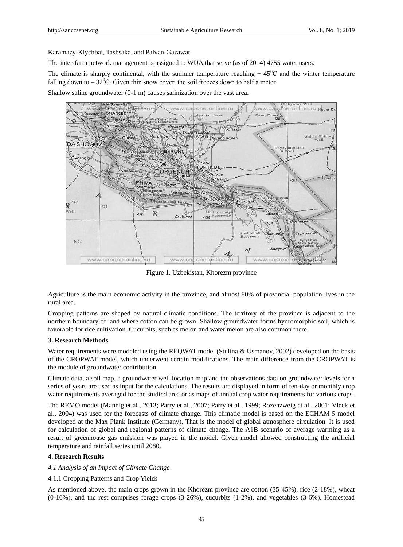Karamazy-Klychbai, Tashsaka, and Palvan-Gazawat.

The inter-farm network management is assigned to WUA that serve (as of 2014) 4755 water users.

The climate is sharply continental, with the summer temperature reaching  $+45^{\circ}$ C and the winter temperature falling down to  $-32^{\circ}$ C. Given thin snow cover, the soil freezes down to half a meter.

Shallow saline groundwater (0-1 m) causes salinization over the vast area.



Figure 1. Uzbekistan, Khorezm province

Agriculture is the main economic activity in the province, and almost 80% of provincial population lives in the rural area.

Cropping patterns are shaped by natural-climatic conditions. The territory of the province is adjacent to the northern boundary of land where cotton can be grown. Shallow groundwater forms hydromorphic soil, which is favorable for rice cultivation. Cucurbits, such as melon and water melon are also common there.

#### **3. Research Methods**

Water requirements were modeled using the REQWAT model (Stulina & Usmanov, 2002) developed on the basis of the CROPWAT model, which underwent certain modifications. The main difference from the CROPWAT is the module of groundwater contribution.

Climate data, a soil map, a groundwater well location map and the observations data on groundwater levels for a series of years are used as input for the calculations. The results are displayed in form of ten-day or monthly crop water requirements averaged for the studied area or as maps of annual crop water requirements for various crops.

The REMO model (Mannig et al., 2013; Parry et al., 2007; Parry et al., 1999; Rozenzweig et al., 2001; Vleck et al., 2004) was used for the forecasts of climate change. This climatic model is based on the ECHAM 5 model developed at the Max Plank Institute (Germany). That is the model of global atmosphere circulation. It is used for calculation of global and regional patterns of climate change. The A1B scenario of average warming as a result of greenhouse gas emission was played in the model. Given model allowed constructing the artificial temperature and rainfall series until 2080.

## **4. Research Results**

## *4.1 Analysis of an Impact of Climate Change*

4.1.1 Cropping Patterns and Crop Yields

As mentioned above, the main crops grown in the Khorezm province are cotton (35-45%), rice (2-18%), wheat (0-16%), and the rest comprises forage crops (3-26%), cucurbits (1-2%), and vegetables (3-6%). Homestead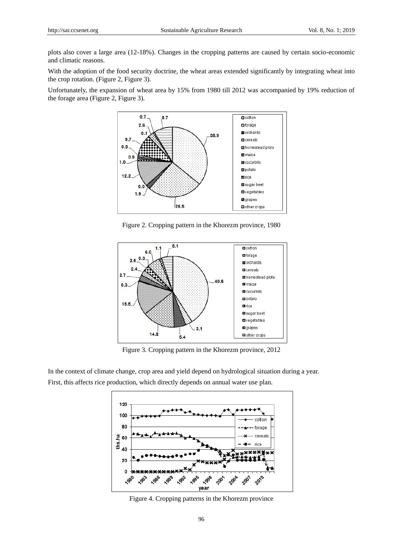plots also cover a large area (12-18%). Changes in the cropping patterns are caused by certain socio-economic and climatic reasons.

With the adoption of the food security doctrine, the wheat areas extended significantly by integrating wheat into the crop rotation. (Figure 2, Figure 3).

Unfortunately, the expansion of wheat area by 15% from 1980 till 2012 was accompanied by 19% reduction of the forage area (Figure 2, Figure 3).



Figure 2. Cropping pattern in the Khorezm province, 1980



Figure 3. Cropping pattern in the Khorezm province, 2012

In the context of climate change, crop area and yield depend on hydrological situation during a year. First, this affects rice production, which directly depends on annual water use plan.



Figure 4. Cropping patterns in the Khorezm province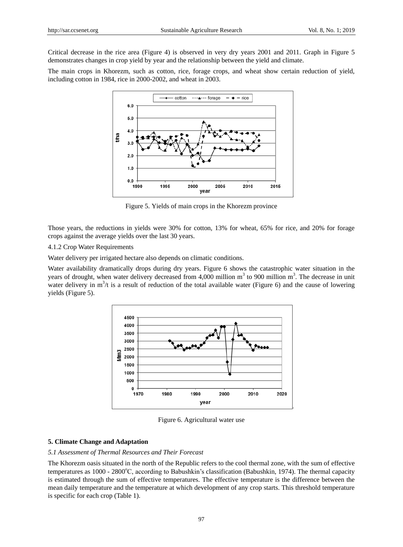Critical decrease in the rice area (Figure 4) is observed in very dry years 2001 and 2011. Graph in Figure 5 demonstrates changes in crop yield by year and the relationship between the yield and climate.

The main crops in Khorezm, such as cotton, rice, forage crops, and wheat show certain reduction of yield, including cotton in 1984, rice in 2000-2002, and wheat in 2003.



Figure 5. Yields of main crops in the Khorezm province

Those years, the reductions in yields were 30% for cotton, 13% for wheat, 65% for rice, and 20% for forage crops against the average yields over the last 30 years.

4.1.2 Crop Water Requirements

Water delivery per irrigated hectare also depends on climatic conditions.

Water availability dramatically drops during dry years. Figure 6 shows the catastrophic water situation in the years of drought, when water delivery decreased from 4,000 million  $m<sup>3</sup>$  to 900 million  $m<sup>3</sup>$ . The decrease in unit water delivery in  $m^3/t$  is a result of reduction of the total available water (Figure 6) and the cause of lowering yields (Figure 5).



Figure 6. Agricultural water use

#### **5. Climate Change and Adaptation**

## *5.1 Assessment of Thermal Resources and Their Forecast*

The Khorezm oasis situated in the north of the Republic refers to the cool thermal zone, with the sum of effective temperatures as 1000 - 2800°C, according to Babushkin's classification (Babushkin, 1974). The thermal capacity is estimated through the sum of effective temperatures. The effective temperature is the difference between the mean daily temperature and the temperature at which development of any crop starts. This threshold temperature is specific for each crop (Table 1).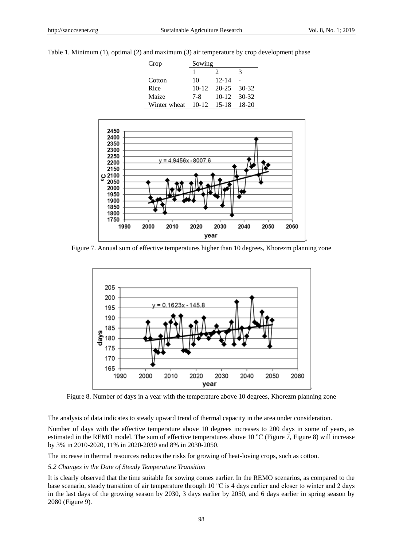|  |  |  |  |  |  |  |  |  | Table 1. Minimum (1), optimal (2) and maximum (3) air temperature by crop development phase |  |  |  |  |  |  |
|--|--|--|--|--|--|--|--|--|---------------------------------------------------------------------------------------------|--|--|--|--|--|--|
|--|--|--|--|--|--|--|--|--|---------------------------------------------------------------------------------------------|--|--|--|--|--|--|

| Crop         | Sowing  |           |       |  |  |  |  |
|--------------|---------|-----------|-------|--|--|--|--|
|              |         |           |       |  |  |  |  |
| Cotton       | 10      | $12 - 14$ |       |  |  |  |  |
| Rice         | $10-12$ | 20-25     | 30-32 |  |  |  |  |
| Maize        | 7-8     | $10-12$   | 30-32 |  |  |  |  |
| Winter wheat | $10-12$ | 15-18     | 18-20 |  |  |  |  |



Figure 7. Annual sum of effective temperatures higher than 10 degrees, Khorezm planning zone



Figure 8. Number of days in a year with the temperature above 10 degrees, Khorezm planning zone

The analysis of data indicates to steady upward trend of thermal capacity in the area under consideration.

Number of days with the effective temperature above 10 degrees increases to 200 days in some of years, as estimated in the REMO model. The sum of effective temperatures above 10  $^{\circ}$ C (Figure 7, Figure 8) will increase by 3% in 2010-2020, 11% in 2020-2030 and 8% in 2030-2050.

The increase in thermal resources reduces the risks for growing of heat-loving crops, such as cotton.

#### *5.2 Changes in the Date of Steady Temperature Transition*

It is clearly observed that the time suitable for sowing comes earlier. In the REMO scenarios, as compared to the base scenario, steady transition of air temperature through 10 °C is 4 days earlier and closer to winter and 2 days in the last days of the growing season by 2030, 3 days earlier by 2050, and 6 days earlier in spring season by 2080 (Figure 9).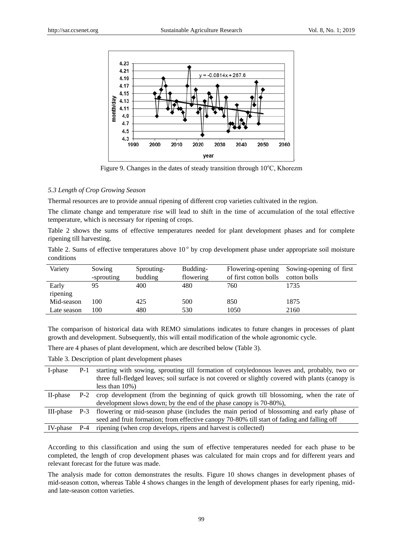

Figure 9. Changes in the dates of steady transition through  $10^{\circ}$ C, Khorezm

# *5.3 Length of Crop Growing Season*

Thermal resources are to provide annual ripening of different crop varieties cultivated in the region.

The climate change and temperature rise will lead to shift in the time of accumulation of the total effective temperature, which is necessary for ripening of crops.

Table 2 shows the sums of effective temperatures needed for plant development phases and for complete ripening till harvesting.

Table 2. Sums of effective temperatures above  $10^{\circ}$  by crop development phase under appropriate soil moisture conditions

| Variety     | Sowing     | Sprouting- | Budding-  | Flowering-opening     | Sowing-opening of first |
|-------------|------------|------------|-----------|-----------------------|-------------------------|
|             | -sprouting | budding    | flowering | of first cotton bolls | cotton bolls            |
| Early       | 95         | 400        | 480       | 760                   | 1735                    |
| ripening    |            |            |           |                       |                         |
| Mid-season  | 100        | 425        | 500       | 850                   | 1875                    |
| Late season | 100        | 480        | 530       | 1050                  | 2160                    |

The comparison of historical data with REMO simulations indicates to future changes in processes of plant growth and development. Subsequently, this will entail modification of the whole agronomic cycle.

There are 4 phases of plant development, which are described below (Table 3).

Table 3. Description of plant development phases

| I-phase  | $P-1$ | starting with sowing, sprouting till formation of cotyledonous leaves and, probably, two or            |
|----------|-------|--------------------------------------------------------------------------------------------------------|
|          |       | three full-fledged leaves; soil surface is not covered or slightly covered with plants (canopy is      |
|          |       | less than $10\%$ )                                                                                     |
| II-phase |       | P-2 crop development (from the beginning of quick growth till blossoming, when the rate of             |
|          |       | development slows down; by the end of the phase canopy is 70-80%),                                     |
|          |       | III-phase P-3 flowering or mid-season phase (includes the main period of blossoming and early phase of |
|          |       | seed and fruit formation; from effective canopy 70-80% till start of fading and falling off            |
| IV-phase | $P-4$ | ripening (when crop develops, ripens and harvest is collected)                                         |

According to this classification and using the sum of effective temperatures needed for each phase to be completed, the length of crop development phases was calculated for main crops and for different years and relevant forecast for the future was made.

The analysis made for cotton demonstrates the results. Figure 10 shows changes in development phases of mid-season cotton, whereas Table 4 shows changes in the length of development phases for early ripening, midand late-season cotton varieties.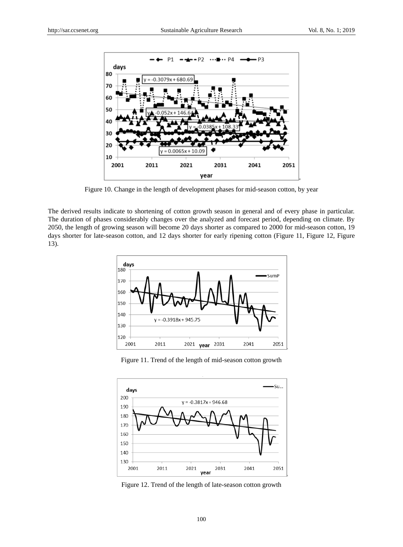

Figure 10. Change in the length of development phases for mid-season cotton, by year

The derived results indicate to shortening of cotton growth season in general and of every phase in particular. The duration of phases considerably changes over the analyzed and forecast period, depending on climate. By 2050, the length of growing season will become 20 days shorter as compared to 2000 for mid-season cotton, 19 days shorter for late-season cotton, and 12 days shorter for early ripening cotton (Figure 11, Figure 12, Figure 13).



Figure 11. Trend of the length of mid-season cotton growth



Figure 12. Trend of the length of late-season cotton growth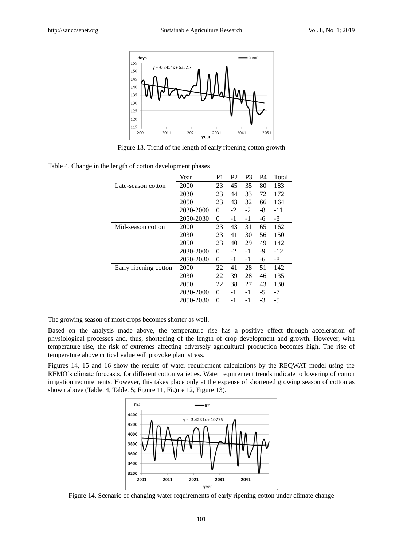

Figure 13. Trend of the length of early ripening cotton growth

|  |  | Table 4. Change in the length of cotton development phases |  |
|--|--|------------------------------------------------------------|--|
|  |  |                                                            |  |

|                       | Year      | P1       | P <sub>2</sub> | P3   | P4   | Total |
|-----------------------|-----------|----------|----------------|------|------|-------|
| Late-season cotton    | 2000      | 23       | 45             | 35   | 80   | 183   |
|                       | 2030      | 23       | 44             | 33   | 72   | 172   |
|                       | 2050      | 23       | 43             | 32   | 66   | 164   |
|                       | 2030-2000 | 0        | $-2$           | $-2$ | -8   | -11   |
|                       | 2050-2030 | 0        | $-1$           | $-1$ | -6   | -8    |
| Mid-season cotton     | 2000      | 23       | 43             | 31   | 65   | 162   |
|                       | 2030      | 23       | 41             | 30   | 56   | 150   |
|                       | 2050      | 23       | 40             | 29   | 49   | 142   |
|                       | 2030-2000 | $\theta$ | $-2$           | $-1$ | -9   | $-12$ |
|                       | 2050-2030 | $\theta$ | $-1$           | $-1$ | -6   | $-8$  |
| Early ripening cotton | 2000      | 22       | 41             | 28   | 51   | 142   |
|                       | 2030      | 22       | 39             | 28   | 46   | 135   |
|                       | 2050      | 22       | 38             | 27   | 43   | 130   |
|                       | 2030-2000 | $\theta$ | -1             | $-1$ | $-5$ | $-7$  |
|                       | 2050-2030 | $\theta$ | -1             | -1   | -3   | -5    |

The growing season of most crops becomes shorter as well.

Based on the analysis made above, the temperature rise has a positive effect through acceleration of physiological processes and, thus, shortening of the length of crop development and growth. However, with temperature rise, the risk of extremes affecting adversely agricultural production becomes high. The rise of temperature above critical value will provoke plant stress.

Figures 14, 15 and 16 show the results of water requirement calculations by the REQWAT model using the REMO's climate forecasts, for different cotton varieties. Water requirement trends indicate to lowering of cotton irrigation requirements. However, this takes place only at the expense of shortened growing season of cotton as shown above (Table. 4, Table. 5; Figure 11, Figure 12, Figure 13).



Figure 14. Scenario of changing water requirements of early ripening cotton under climate change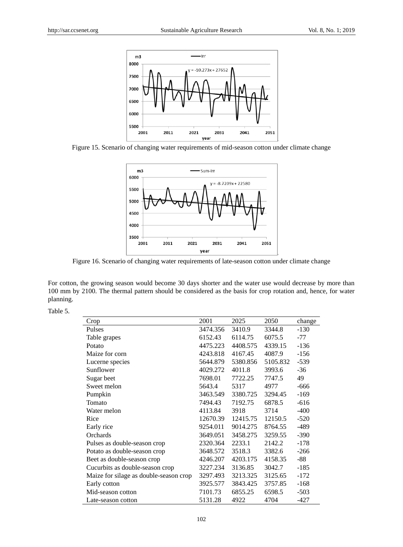

Figure 15. Scenario of changing water requirements of mid-season cotton under climate change



Figure 16. Scenario of changing water requirements of late-season cotton under climate change

For cotton, the growing season would become 30 days shorter and the water use would decrease by more than 100 mm by 2100. The thermal pattern should be considered as the basis for crop rotation and, hence, for water planning.

Table 5.

| Crop                                   | 2001     | 2025     | 2050     | change |
|----------------------------------------|----------|----------|----------|--------|
| Pulses                                 | 3474.356 | 3410.9   | 3344.8   | $-130$ |
| Table grapes                           | 6152.43  | 6114.75  | 6075.5   | $-77$  |
| Potato                                 | 4475.223 | 4408.575 | 4339.15  | $-136$ |
| Maize for corn                         | 4243.818 | 4167.45  | 4087.9   | $-156$ |
| Lucerne species                        | 5644.879 | 5380.856 | 5105.832 | $-539$ |
| Sunflower                              | 4029.272 | 4011.8   | 3993.6   | $-36$  |
| Sugar beet                             | 7698.01  | 7722.25  | 7747.5   | 49     |
| Sweet melon                            | 5643.4   | 5317     | 4977     | -666   |
| Pumpkin                                | 3463.549 | 3380.725 | 3294.45  | $-169$ |
| Tomato                                 | 7494.43  | 7192.75  | 6878.5   | $-616$ |
| Water melon                            | 4113.84  | 3918     | 3714     | $-400$ |
| Rice                                   | 12670.39 | 12415.75 | 12150.5  | $-520$ |
| Early rice                             | 9254.011 | 9014.275 | 8764.55  | $-489$ |
| Orchards                               | 3649.051 | 3458.275 | 3259.55  | $-390$ |
| Pulses as double-season crop           | 2320.364 | 2233.1   | 2142.2   | $-178$ |
| Potato as double-season crop           | 3648.572 | 3518.3   | 3382.6   | $-266$ |
| Beet as double-season crop             | 4246.207 | 4203.175 | 4158.35  | -88    |
| Cucurbits as double-season crop        | 3227.234 | 3136.85  | 3042.7   | $-185$ |
| Maize for silage as double-season crop | 3297.493 | 3213.325 | 3125.65  | $-172$ |
| Early cotton                           | 3925.577 | 3843.425 | 3757.85  | $-168$ |
| Mid-season cotton                      | 7101.73  | 6855.25  | 6598.5   | $-503$ |
| Late-season cotton                     | 5131.28  | 4922     | 4704     | -427   |